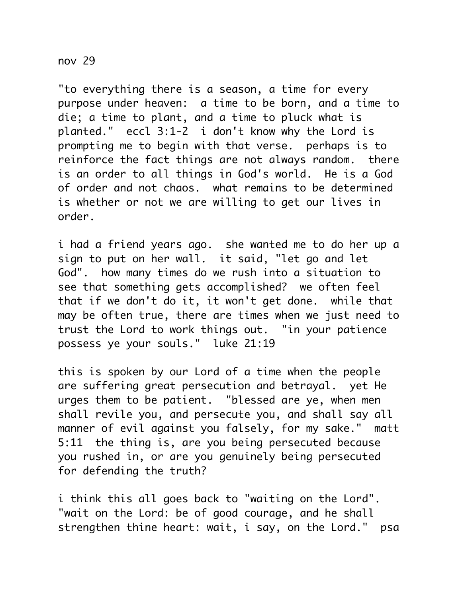## nov 29

"to everything there is a season, a time for every purpose under heaven: a time to be born, and a time to die; a time to plant, and a time to pluck what is planted." eccl 3:1-2 i don't know why the Lord is prompting me to begin with that verse. perhaps is to reinforce the fact things are not always random. there is an order to all things in God's world. He is a God of order and not chaos. what remains to be determined is whether or not we are willing to get our lives in order.

i had a friend years ago. she wanted me to do her up a sign to put on her wall. it said, "let go and let God". how many times do we rush into a situation to see that something gets accomplished? we often feel that if we don't do it, it won't get done. while that may be often true, there are times when we just need to trust the Lord to work things out. "in your patience possess ye your souls." luke 21:19

this is spoken by our Lord of a time when the people are suffering great persecution and betrayal. yet He urges them to be patient. "blessed are ye, when men shall revile you, and persecute you, and shall say all manner of evil against you falsely, for my sake." matt 5:11 the thing is, are you being persecuted because you rushed in, or are you genuinely being persecuted for defending the truth?

i think this all goes back to "waiting on the Lord". "wait on the Lord: be of good courage, and he shall strengthen thine heart: wait, i say, on the Lord." psa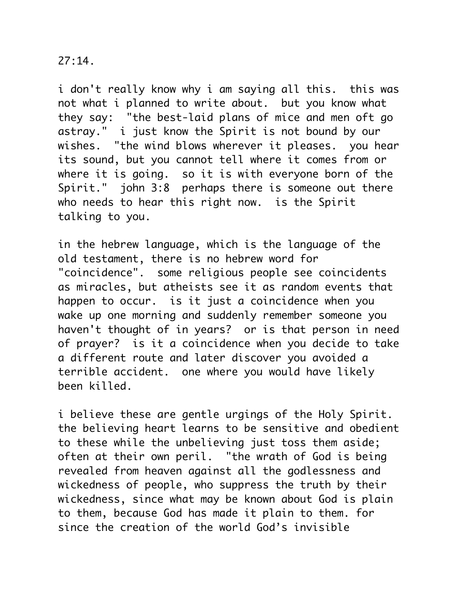## $27:14.$

i don't really know why i am saying all this. this was not what i planned to write about. but you know what they say: "the best-laid plans of mice and men oft go astray." i just know the Spirit is not bound by our wishes. "the wind blows wherever it pleases. you hear its sound, but you cannot tell where it comes from or where it is going. so it is with everyone born of the Spirit." john 3:8 perhaps there is someone out there who needs to hear this right now. is the Spirit talking to you.

in the hebrew language, which is the language of the old testament, there is no hebrew word for "coincidence". some religious people see coincidents as miracles, but atheists see it as random events that happen to occur. is it just a coincidence when you wake up one morning and suddenly remember someone you haven't thought of in years? or is that person in need of prayer? is it a coincidence when you decide to take a different route and later discover you avoided a terrible accident. one where you would have likely been killed.

i believe these are gentle urgings of the Holy Spirit. the believing heart learns to be sensitive and obedient to these while the unbelieving just toss them aside; often at their own peril. "the wrath of God is being revealed from heaven against all the godlessness and wickedness of people, who suppress the truth by their wickedness, since what may be known about God is plain to them, because God has made it plain to them. for since the creation of the world God's invisible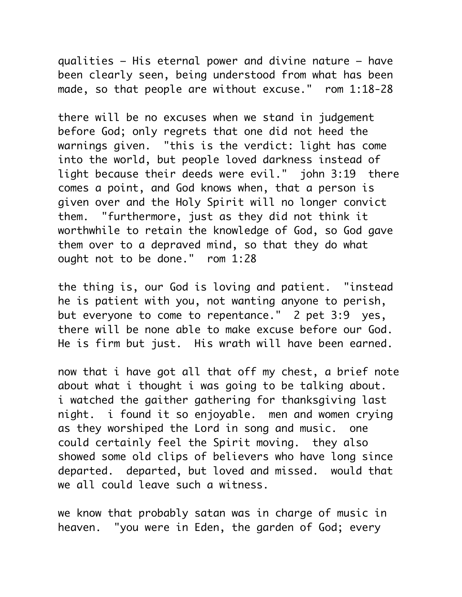qualities – His eternal power and divine nature – have been clearly seen, being understood from what has been made, so that people are without excuse." rom 1:18-28

there will be no excuses when we stand in judgement before God; only regrets that one did not heed the warnings given. "this is the verdict: light has come into the world, but people loved darkness instead of light because their deeds were evil." john 3:19 there comes a point, and God knows when, that a person is given over and the Holy Spirit will no longer convict them. "furthermore, just as they did not think it worthwhile to retain the knowledge of God, so God gave them over to a depraved mind, so that they do what ought not to be done." rom 1:28

the thing is, our God is loving and patient. "instead he is patient with you, not wanting anyone to perish, but everyone to come to repentance." 2 pet 3:9 yes, there will be none able to make excuse before our God. He is firm but just. His wrath will have been earned.

now that i have got all that off my chest, a brief note about what i thought i was going to be talking about. i watched the gaither gathering for thanksgiving last night. i found it so enjoyable. men and women crying as they worshiped the Lord in song and music. one could certainly feel the Spirit moving. they also showed some old clips of believers who have long since departed. departed, but loved and missed. would that we all could leave such a witness.

we know that probably satan was in charge of music in heaven. "you were in Eden, the garden of God; every